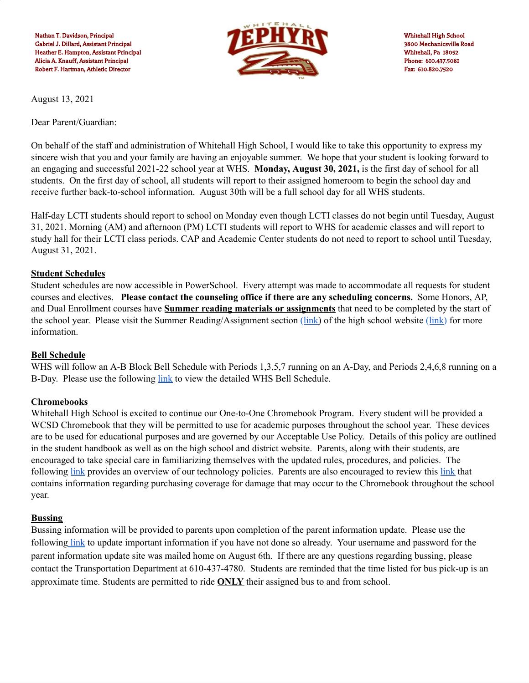

August 13, 2021

Dear Parent/Guardian:

On behalf of the staff and administration of Whitehall High School, I would like to take this opportunity to express my sincere wish that you and your family are having an enjoyable summer. We hope that your student is looking forward to an engaging and successful 2021-22 school year at WHS. **Monday, August 30, 2021,** is the first day of school for all students. On the first day of school, all students will report to their assigned homeroom to begin the school day and receive further back-to-school information. August 30th will be a full school day for all WHS students.

Half-day LCTI students should report to school on Monday even though LCTI classes do not begin until Tuesday, August 31, 2021. Morning (AM) and afternoon (PM) LCTI students will report to WHS for academic classes and will report to study hall for their LCTI class periods. CAP and Academic Center students do not need to report to school until Tuesday, August 31, 2021.

#### **Student Schedules**

Student schedules are now accessible in PowerSchool. Every attempt was made to accommodate all requests for student courses and electives. **Please contact the counseling office if there are any scheduling concerns.** Some Honors, AP, and Dual Enrollment courses have **Summer reading materials or assignments** that need to be completed by the start of the school year. Please visit the Summer Reading/Assignment section [\(link](https://sites.google.com/a/whitehallcoplay.org/summer-reading/)) of the high school website [\(link\)](https://www.whitehallcoplay.org/Domain/12) for more information.

#### **Bell Schedule**

WHS will follow an A-B Block Bell Schedule with Periods 1,3,5,7 running on an A-Day, and Periods 2,4,6,8 running on a B-Day. Please use the following [link](https://docs.google.com/document/d/1SiCbbh0KBFsLYbtMwOk9mqaaL0YqhSlbcGDfKypqQAw/edit) to view the detailed WHS Bell Schedule.

## **Chromebooks**

Whitehall High School is excited to continue our One-to-One Chromebook Program. Every student will be provided a WCSD Chromebook that they will be permitted to use for academic purposes throughout the school year. These devices are to be used for educational purposes and are governed by our Acceptable Use Policy. Details of this policy are outlined in the student handbook as well as on the high school and district website. Parents, along with their students, are encouraged to take special care in familiarizing themselves with the updated rules, procedures, and policies. The following [link](https://docs.google.com/document/d/1A7ybTBUlSH7SVgd6IsYxVXRlKtlpsd6U-TtjsELWFTY/edit?usp=sharing) provides an overview of our technology policies. Parents are also encouraged to review this [link](https://www.whitehallcoplay.org/cms/lib/PA50000018/Centricity/Domain/4/202122TechFeeFlyer.pdf) that contains information regarding purchasing coverage for damage that may occur to the Chromebook throughout the school year.

#### **Bussing**

Bussing information will be provided to parents upon completion of the parent information update. Please use the following [link](https://update.whitehallcoplay.org/login) to update important information if you have not done so already. Your username and password for the parent information update site was mailed home on August 6th. If there are any questions regarding bussing, please contact the Transportation Department at 610-437-4780. Students are reminded that the time listed for bus pick-up is an approximate time. Students are permitted to ride **ONLY** their assigned bus to and from school.